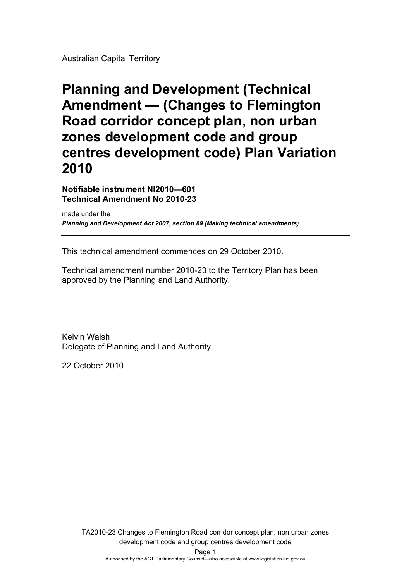Australian Capital Territory

# **Planning and Development (Technical Amendment — (Changes to Flemington Road corridor concept plan, non urban zones development code and group centres development code) Plan Variation 2010**

**Notifiable instrument NI2010—601 Technical Amendment No 2010-23** 

made under the *Planning and Development Act 2007, section 89 (Making technical amendments)* 

This technical amendment commences on 29 October 2010.

Technical amendment number 2010-23 to the Territory Plan has been approved by the Planning and Land Authority.

Kelvin Walsh Delegate of Planning and Land Authority

22 October 2010

Page 1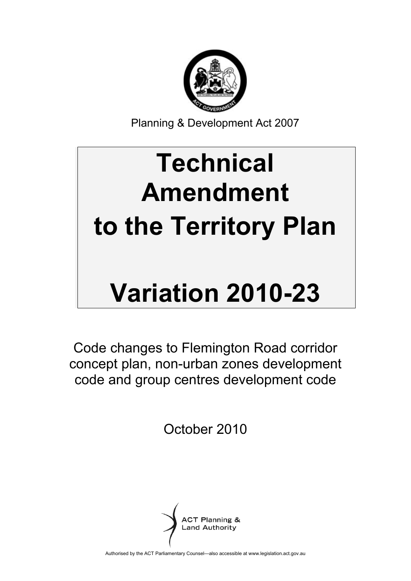

Planning & Development Act 2007

# **Technical Amendment to the Territory Plan**

# **Variation 2010-23**

Code changes to Flemington Road corridor concept plan, non-urban zones development code and group centres development code

October 2010



Authorised by the ACT Parliamentary Counsel—also accessible at www.legislation.act.gov.au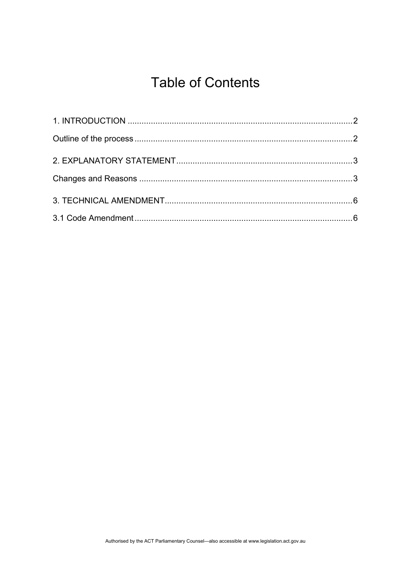# **Table of Contents**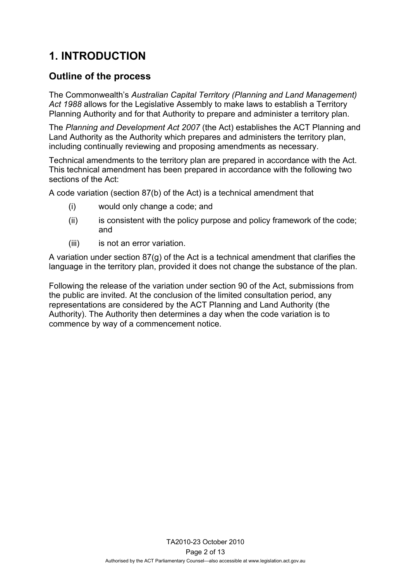# <span id="page-3-0"></span>**1. INTRODUCTION**

# <span id="page-3-1"></span>**Outline of the process**

The Commonwealth's *Australian Capital Territory (Planning and Land Management) Act 1988* allows for the Legislative Assembly to make laws to establish a Territory Planning Authority and for that Authority to prepare and administer a territory plan.

The *Planning and Development Act 2007* (the Act) establishes the ACT Planning and Land Authority as the Authority which prepares and administers the territory plan, including continually reviewing and proposing amendments as necessary.

Technical amendments to the territory plan are prepared in accordance with the Act. This technical amendment has been prepared in accordance with the following two sections of the Act:

A code variation (section 87(b) of the Act) is a technical amendment that

- (i) would only change a code; and
- (ii) is consistent with the policy purpose and policy framework of the code; and
- (iii) is not an error variation.

A variation under section 87(g) of the Act is a technical amendment that clarifies the language in the territory plan, provided it does not change the substance of the plan.

Following the release of the variation under section 90 of the Act, submissions from the public are invited. At the conclusion of the limited consultation period, any representations are considered by the ACT Planning and Land Authority (the Authority). The Authority then determines a day when the code variation is to commence by way of a commencement notice.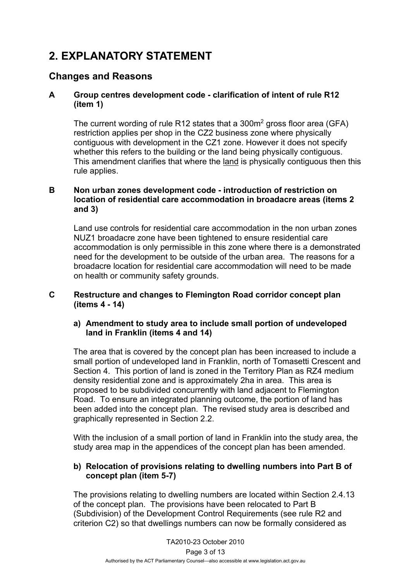# <span id="page-4-0"></span>**2. EXPLANATORY STATEMENT**

## <span id="page-4-1"></span>**Changes and Reasons**

#### **A Group centres development code - clarification of intent of rule R12 (item 1)**

The current wording of rule R12 states that a  $300m^2$  gross floor area (GFA) restriction applies per shop in the CZ2 business zone where physically contiguous with development in the CZ1 zone. However it does not specify whether this refers to the building or the land being physically contiguous. This amendment clarifies that where the land is physically contiguous then this rule applies.

#### **B Non urban zones development code - introduction of restriction on location of residential care accommodation in broadacre areas (items 2 and 3)**

Land use controls for residential care accommodation in the non urban zones NUZ1 broadacre zone have been tightened to ensure residential care accommodation is only permissible in this zone where there is a demonstrated need for the development to be outside of the urban area. The reasons for a broadacre location for residential care accommodation will need to be made on health or community safety grounds.

#### **C Restructure and changes to Flemington Road corridor concept plan (items 4 - 14)**

#### **a) Amendment to study area to include small portion of undeveloped land in Franklin (items 4 and 14)**

The area that is covered by the concept plan has been increased to include a small portion of undeveloped land in Franklin, north of Tomasetti Crescent and Section 4. This portion of land is zoned in the Territory Plan as RZ4 medium density residential zone and is approximately 2ha in area. This area is proposed to be subdivided concurrently with land adjacent to Flemington Road. To ensure an integrated planning outcome, the portion of land has been added into the concept plan. The revised study area is described and graphically represented in Section 2.2.

With the inclusion of a small portion of land in Franklin into the study area, the study area map in the appendices of the concept plan has been amended.

#### **b) Relocation of provisions relating to dwelling numbers into Part B of concept plan (item 5-7)**

The provisions relating to dwelling numbers are located within Section 2.4.13 of the concept plan. The provisions have been relocated to Part B (Subdivision) of the Development Control Requirements (see rule R2 and criterion C2) so that dwellings numbers can now be formally considered as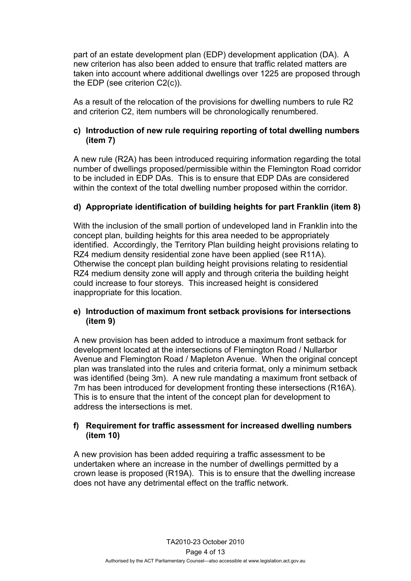part of an estate development plan (EDP) development application (DA). A new criterion has also been added to ensure that traffic related matters are taken into account where additional dwellings over 1225 are proposed through the EDP (see criterion C2(c)).

As a result of the relocation of the provisions for dwelling numbers to rule R2 and criterion C2, item numbers will be chronologically renumbered.

#### **c) Introduction of new rule requiring reporting of total dwelling numbers (item 7)**

A new rule (R2A) has been introduced requiring information regarding the total number of dwellings proposed/permissible within the Flemington Road corridor to be included in EDP DAs. This is to ensure that EDP DAs are considered within the context of the total dwelling number proposed within the corridor.

#### **d) Appropriate identification of building heights for part Franklin (item 8)**

With the inclusion of the small portion of undeveloped land in Franklin into the concept plan, building heights for this area needed to be appropriately identified. Accordingly, the Territory Plan building height provisions relating to RZ4 medium density residential zone have been applied (see R11A). Otherwise the concept plan building height provisions relating to residential RZ4 medium density zone will apply and through criteria the building height could increase to four storeys. This increased height is considered inappropriate for this location.

#### **e) Introduction of maximum front setback provisions for intersections (item 9)**

 A new provision has been added to introduce a maximum front setback for development located at the intersections of Flemington Road / Nullarbor Avenue and Flemington Road / Mapleton Avenue. When the original concept plan was translated into the rules and criteria format, only a minimum setback was identified (being 3m). A new rule mandating a maximum front setback of 7m has been introduced for development fronting these intersections (R16A). This is to ensure that the intent of the concept plan for development to address the intersections is met.

#### **f) Requirement for traffic assessment for increased dwelling numbers (item 10)**

A new provision has been added requiring a traffic assessment to be undertaken where an increase in the number of dwellings permitted by a crown lease is proposed (R19A). This is to ensure that the dwelling increase does not have any detrimental effect on the traffic network.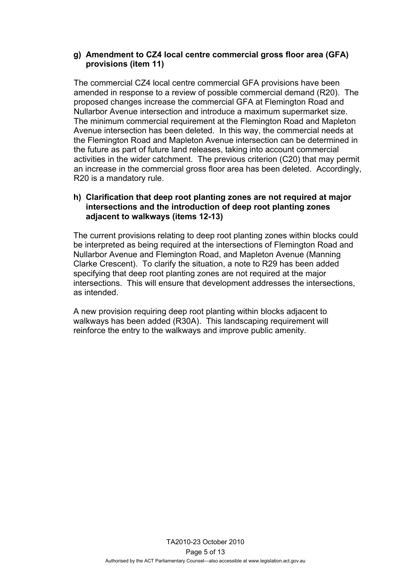#### **g) Amendment to CZ4 local centre commercial gross floor area (GFA) provisions (item 11)**

 The commercial CZ4 local centre commercial GFA provisions have been amended in response to a review of possible commercial demand (R20). The proposed changes increase the commercial GFA at Flemington Road and Nullarbor Avenue intersection and introduce a maximum supermarket size. The minimum commercial requirement at the Flemington Road and Mapleton Avenue intersection has been deleted. In this way, the commercial needs at the Flemington Road and Mapleton Avenue intersection can be determined in the future as part of future land releases, taking into account commercial activities in the wider catchment. The previous criterion (C20) that may permit an increase in the commercial gross floor area has been deleted. Accordingly, R20 is a mandatory rule.

#### **h) Clarification that deep root planting zones are not required at major intersections and the introduction of deep root planting zones adjacent to walkways (items 12-13)**

The current provisions relating to deep root planting zones within blocks could be interpreted as being required at the intersections of Flemington Road and Nullarbor Avenue and Flemington Road, and Mapleton Avenue (Manning Clarke Crescent). To clarify the situation, a note to R29 has been added specifying that deep root planting zones are not required at the major intersections. This will ensure that development addresses the intersections, as intended.

A new provision requiring deep root planting within blocks adjacent to walkways has been added (R30A). This landscaping requirement will reinforce the entry to the walkways and improve public amenity.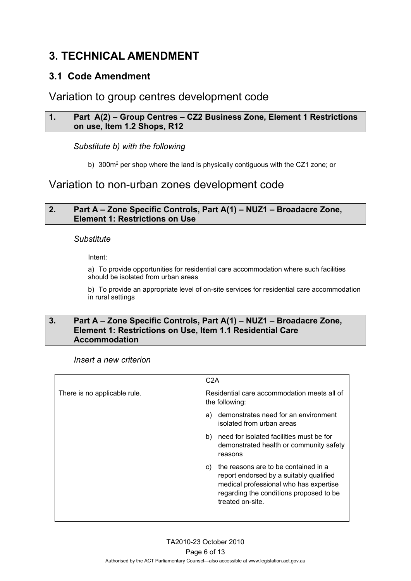# <span id="page-7-0"></span>**3. TECHNICAL AMENDMENT**

## <span id="page-7-1"></span>**3.1 Code Amendment**

## Variation to group centres development code

#### **1. Part A(2) – Group Centres – CZ2 Business Zone, Element 1 Restrictions on use, Item 1.2 Shops, R12**

#### *Substitute b) with the following*

b) 300m<sup>2</sup> per shop where the land is physically contiguous with the CZ1 zone; or

# Variation to non-urban zones development code

#### **2. Part A – Zone Specific Controls, Part A(1) – NUZ1 – Broadacre Zone, Element 1: Restrictions on Use**

#### *Substitute*

Intent:

a) To provide opportunities for residential care accommodation where such facilities should be isolated from urban areas

b) To provide an appropriate level of on-site services for residential care accommodation in rural settings

#### **3. Part A – Zone Specific Controls, Part A(1) – NUZ1 – Broadacre Zone, Element 1: Restrictions on Use, Item 1.1 Residential Care Accommodation**

#### *Insert a new criterion*

|                              | C2A                                                                                                                                                                                            |
|------------------------------|------------------------------------------------------------------------------------------------------------------------------------------------------------------------------------------------|
| There is no applicable rule. | Residential care accommodation meets all of<br>the following:                                                                                                                                  |
|                              | demonstrates need for an environment<br>a)<br>isolated from urban areas                                                                                                                        |
|                              | need for isolated facilities must be for<br>b)<br>demonstrated health or community safety<br>reasons                                                                                           |
|                              | the reasons are to be contained in a<br>C)<br>report endorsed by a suitably qualified<br>medical professional who has expertise<br>regarding the conditions proposed to be<br>treated on-site. |
|                              |                                                                                                                                                                                                |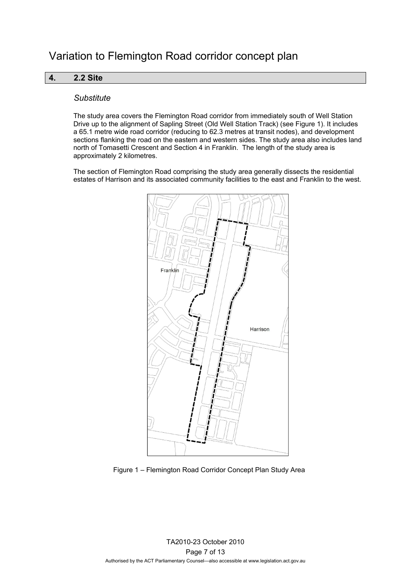#### **4. 2.2 Site**

#### *Substitute*

The study area covers the Flemington Road corridor from immediately south of Well Station Drive up to the alignment of Sapling Street (Old Well Station Track) (see Figure 1). It includes a 65.1 metre wide road corridor (reducing to 62.3 metres at transit nodes), and development sections flanking the road on the eastern and western sides. The study area also includes land north of Tomasetti Crescent and Section 4 in Franklin. The length of the study area is approximately 2 kilometres.

The section of Flemington Road comprising the study area generally dissects the residential estates of Harrison and its associated community facilities to the east and Franklin to the west.



Figure 1 – Flemington Road Corridor Concept Plan Study Area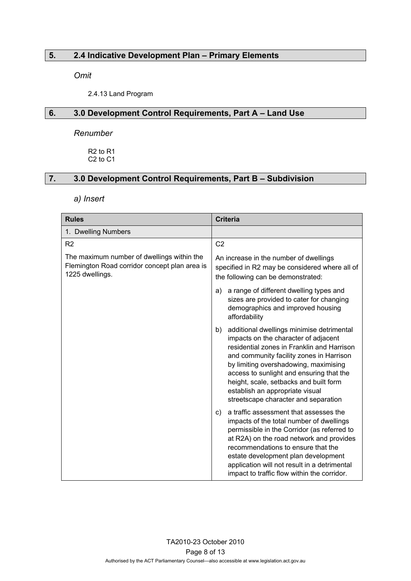#### **5. 2.4 Indicative Development Plan – Primary Elements**

*Omit* 

2.4.13 Land Program

#### **6. 3.0 Development Control Requirements, Part A – Land Use**

*Renumber*

R2 to R1 C2 to C1

#### **7. 3.0 Development Control Requirements, Part B – Subdivision**

*a) Insert* 

| <b>Rules</b>                                                                                                   | <b>Criteria</b>                                                                                                                                                                                                                                                                                                                                                                             |  |
|----------------------------------------------------------------------------------------------------------------|---------------------------------------------------------------------------------------------------------------------------------------------------------------------------------------------------------------------------------------------------------------------------------------------------------------------------------------------------------------------------------------------|--|
| 1. Dwelling Numbers                                                                                            |                                                                                                                                                                                                                                                                                                                                                                                             |  |
| R <sub>2</sub>                                                                                                 | C <sub>2</sub>                                                                                                                                                                                                                                                                                                                                                                              |  |
| The maximum number of dwellings within the<br>Flemington Road corridor concept plan area is<br>1225 dwellings. | An increase in the number of dwellings<br>specified in R2 may be considered where all of<br>the following can be demonstrated:                                                                                                                                                                                                                                                              |  |
|                                                                                                                | a range of different dwelling types and<br>a)<br>sizes are provided to cater for changing<br>demographics and improved housing<br>affordability                                                                                                                                                                                                                                             |  |
|                                                                                                                | additional dwellings minimise detrimental<br>b)<br>impacts on the character of adjacent<br>residential zones in Franklin and Harrison<br>and community facility zones in Harrison<br>by limiting overshadowing, maximising<br>access to sunlight and ensuring that the<br>height, scale, setbacks and built form<br>establish an appropriate visual<br>streetscape character and separation |  |
|                                                                                                                | a traffic assessment that assesses the<br>C)<br>impacts of the total number of dwellings<br>permissible in the Corridor (as referred to<br>at R2A) on the road network and provides<br>recommendations to ensure that the<br>estate development plan development<br>application will not result in a detrimental<br>impact to traffic flow within the corridor.                             |  |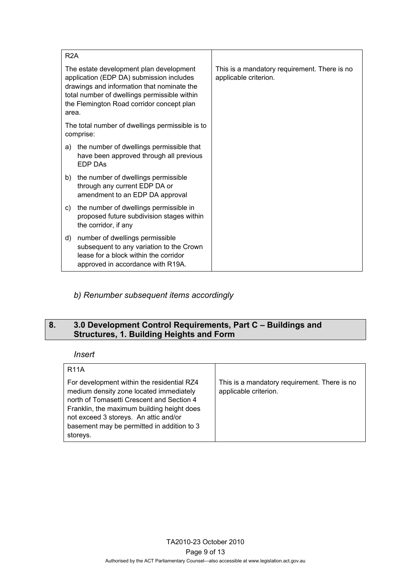| R <sub>2</sub> A                                                                                                                                                                                                                        |                                                                                                                                                           |                                                                       |
|-----------------------------------------------------------------------------------------------------------------------------------------------------------------------------------------------------------------------------------------|-----------------------------------------------------------------------------------------------------------------------------------------------------------|-----------------------------------------------------------------------|
| The estate development plan development<br>application (EDP DA) submission includes<br>drawings and information that nominate the<br>total number of dwellings permissible within<br>the Flemington Road corridor concept plan<br>area. |                                                                                                                                                           | This is a mandatory requirement. There is no<br>applicable criterion. |
| The total number of dwellings permissible is to<br>comprise:                                                                                                                                                                            |                                                                                                                                                           |                                                                       |
| a)                                                                                                                                                                                                                                      | the number of dwellings permissible that<br>have been approved through all previous<br><b>EDP DAS</b>                                                     |                                                                       |
| b)                                                                                                                                                                                                                                      | the number of dwellings permissible<br>through any current EDP DA or<br>amendment to an EDP DA approval                                                   |                                                                       |
| C)                                                                                                                                                                                                                                      | the number of dwellings permissible in<br>proposed future subdivision stages within<br>the corridor, if any                                               |                                                                       |
| d)                                                                                                                                                                                                                                      | number of dwellings permissible<br>subsequent to any variation to the Crown<br>lease for a block within the corridor<br>approved in accordance with R19A. |                                                                       |

*b) Renumber subsequent items accordingly* 

### **8. 3.0 Development Control Requirements, Part C – Buildings and Structures, 1. Building Heights and Form**

#### *Insert*

| <b>R11A</b>                                                                                                                                                                                                                                                                         |                                                                       |
|-------------------------------------------------------------------------------------------------------------------------------------------------------------------------------------------------------------------------------------------------------------------------------------|-----------------------------------------------------------------------|
| For development within the residential RZ4<br>medium density zone located immediately<br>north of Tomasetti Crescent and Section 4<br>Franklin, the maximum building height does<br>not exceed 3 storeys. An attic and/or<br>basement may be permitted in addition to 3<br>storeys. | This is a mandatory requirement. There is no<br>applicable criterion. |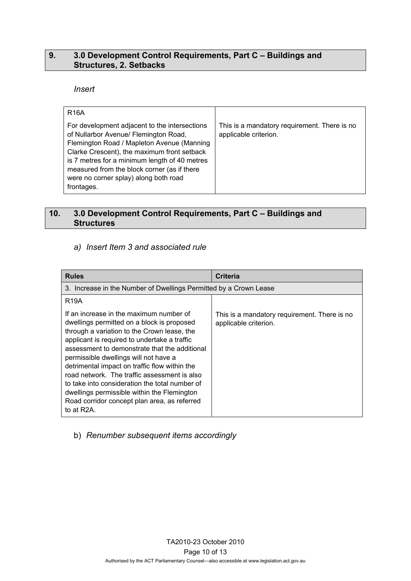#### **9. 3.0 Development Control Requirements, Part C – Buildings and Structures, 2. Setbacks**

#### *Insert*

| <b>R16A</b>                                                                                                                                                                                                                                                                                                                                |                                                                       |
|--------------------------------------------------------------------------------------------------------------------------------------------------------------------------------------------------------------------------------------------------------------------------------------------------------------------------------------------|-----------------------------------------------------------------------|
| For development adjacent to the intersections<br>of Nullarbor Avenue/ Flemington Road,<br>Flemington Road / Mapleton Avenue (Manning<br>Clarke Crescent), the maximum front setback<br>is 7 metres for a minimum length of 40 metres<br>measured from the block corner (as if there<br>were no corner splay) along both road<br>frontages. | This is a mandatory requirement. There is no<br>applicable criterion. |

#### **10. 3.0 Development Control Requirements, Part C – Buildings and Structures**

#### *a) Insert Item 3 and associated rule*

| <b>Rules</b>                                                                                                                                                                                                                                                                                                                                                                                                                                                                                                                                                | <b>Criteria</b>                                                       |
|-------------------------------------------------------------------------------------------------------------------------------------------------------------------------------------------------------------------------------------------------------------------------------------------------------------------------------------------------------------------------------------------------------------------------------------------------------------------------------------------------------------------------------------------------------------|-----------------------------------------------------------------------|
| 3. Increase in the Number of Dwellings Permitted by a Crown Lease                                                                                                                                                                                                                                                                                                                                                                                                                                                                                           |                                                                       |
| R <sub>19</sub> A                                                                                                                                                                                                                                                                                                                                                                                                                                                                                                                                           |                                                                       |
| If an increase in the maximum number of<br>dwellings permitted on a block is proposed<br>through a variation to the Crown lease, the<br>applicant is required to undertake a traffic<br>assessment to demonstrate that the additional<br>permissible dwellings will not have a<br>detrimental impact on traffic flow within the<br>road network. The traffic assessment is also<br>to take into consideration the total number of<br>dwellings permissible within the Flemington<br>Road corridor concept plan area, as referred<br>to at R <sub>2</sub> A. | This is a mandatory requirement. There is no<br>applicable criterion. |

#### b) *Renumber subsequent items accordingly*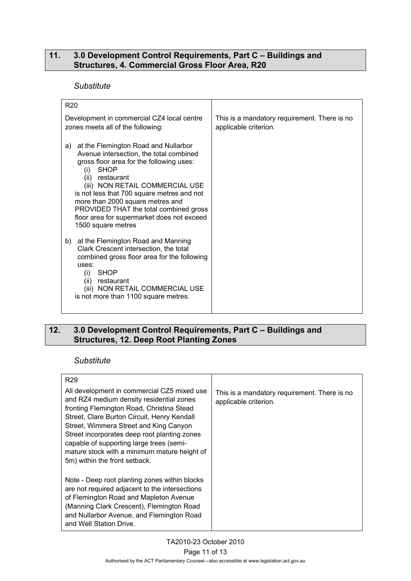#### **11. 3.0 Development Control Requirements, Part C – Buildings and Structures, 4. Commercial Gross Floor Area, R20**

#### *Substitute*

| R <sub>20</sub>                                                                                                                                                                                                                                                                                                                                                                                               |                                                                       |
|---------------------------------------------------------------------------------------------------------------------------------------------------------------------------------------------------------------------------------------------------------------------------------------------------------------------------------------------------------------------------------------------------------------|-----------------------------------------------------------------------|
| Development in commercial CZ4 local centre<br>zones meets all of the following:                                                                                                                                                                                                                                                                                                                               | This is a mandatory requirement. There is no<br>applicable criterion. |
| at the Flemington Road and Nullarbor<br>a)<br>Avenue intersection, the total combined<br>gross floor area for the following uses:<br><b>SHOP</b><br>(i)<br>(ii) restaurant<br>(iii) NON RETAIL COMMERCIAL USE<br>is not less that 700 square metres and not<br>more than 2000 square metres and<br>PROVIDED THAT the total combined gross<br>floor area for supermarket does not exceed<br>1500 square metres |                                                                       |
| at the Flemington Road and Manning<br>b)<br>Clark Crescent intersection, the total<br>combined gross floor area for the following<br>uses:<br><b>SHOP</b><br>(i)<br>(ii) restaurant<br>(iii) NON RETAIL COMMERCIAL USE<br>is not more than 1100 square metres.                                                                                                                                                |                                                                       |

#### **12. 3.0 Development Control Requirements, Part C – Buildings and Structures, 12. Deep Root Planting Zones**

#### *Substitute*

| R <sub>29</sub>                                                                                                                                                                                                                                                                                                                                                                                            |                                                                       |
|------------------------------------------------------------------------------------------------------------------------------------------------------------------------------------------------------------------------------------------------------------------------------------------------------------------------------------------------------------------------------------------------------------|-----------------------------------------------------------------------|
| All development in commercial CZ5 mixed use<br>and RZ4 medium density residential zones<br>fronting Flemington Road, Christina Stead<br>Street, Clare Burton Circuit, Henry Kendall<br>Street, Wimmera Street and King Canyon<br>Street incorporates deep root planting zones<br>capable of supporting large trees (semi-<br>mature stock with a minimum mature height of<br>5m) within the front setback. | This is a mandatory requirement. There is no<br>applicable criterion. |
| Note - Deep root planting zones within blocks<br>are not required adjacent to the intersections<br>of Flemington Road and Mapleton Avenue<br>(Manning Clark Crescent), Flemington Road<br>and Nullarbor Avenue, and Flemington Road<br>and Well Station Drive.                                                                                                                                             |                                                                       |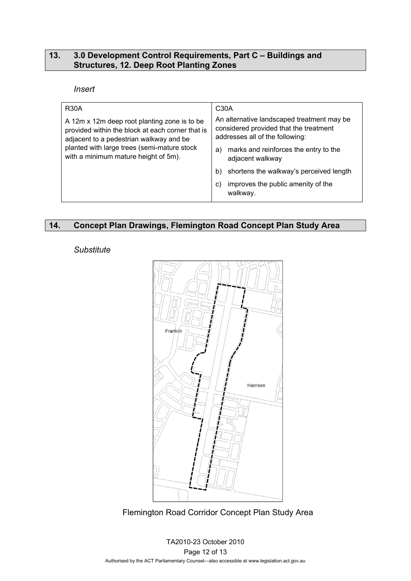#### **13. 3.0 Development Control Requirements, Part C – Buildings and Structures, 12. Deep Root Planting Zones**

#### *Insert*

| <b>R30A</b>                                                                                                                                                                                                                        | C30A                                                                                                                    |
|------------------------------------------------------------------------------------------------------------------------------------------------------------------------------------------------------------------------------------|-------------------------------------------------------------------------------------------------------------------------|
| A 12m x 12m deep root planting zone is to be<br>provided within the block at each corner that is<br>adjacent to a pedestrian walkway and be<br>planted with large trees (semi-mature stock<br>with a minimum mature height of 5m). | An alternative landscaped treatment may be<br>considered provided that the treatment<br>addresses all of the following: |
|                                                                                                                                                                                                                                    | marks and reinforces the entry to the<br>a)<br>adjacent walkway                                                         |
|                                                                                                                                                                                                                                    | shortens the walkway's perceived length<br>b)                                                                           |
|                                                                                                                                                                                                                                    | improves the public amenity of the<br>C)<br>walkway.                                                                    |

## **14. Concept Plan Drawings, Flemington Road Concept Plan Study Area**

#### *Substitute*



Flemington Road Corridor Concept Plan Study Area